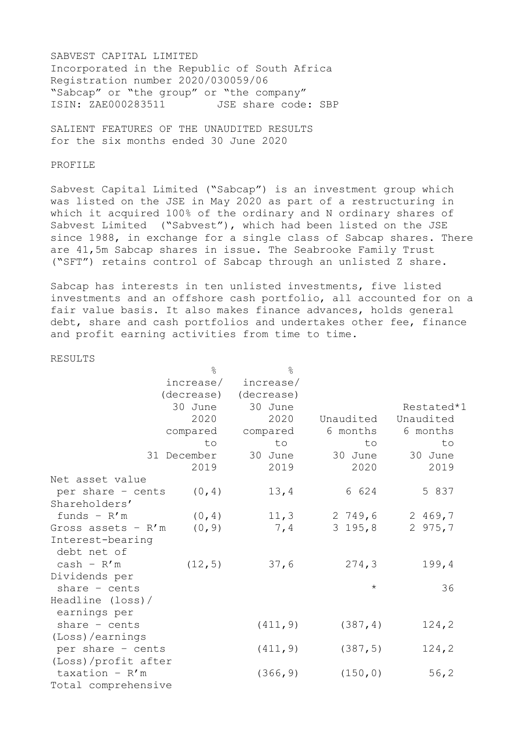SABVEST CAPITAL LIMITED Incorporated in the Republic of South Africa Registration number 2020/030059/06 "Sabcap" or "the group" or "the company" ISIN: ZAE000283511 JSE share code: SBP

SALIENT FEATURES OF THE UNAUDITED RESULTS for the six months ended 30 June 2020

## PROFILE

Sabvest Capital Limited ("Sabcap") is an investment group which was listed on the JSE in May 2020 as part of a restructuring in which it acquired 100% of the ordinary and N ordinary shares of Sabvest Limited ("Sabvest"), which had been listed on the JSE since 1988, in exchange for a single class of Sabcap shares. There are 41,5m Sabcap shares in issue. The Seabrooke Family Trust ("SFT") retains control of Sabcap through an unlisted Z share.

Sabcap has interests in ten unlisted investments, five listed investments and an offshore cash portfolio, all accounted for on a fair value basis. It also makes finance advances, holds general debt, share and cash portfolios and undertakes other fee, finance and profit earning activities from time to time.

## RESULTS

|                      | $\approx$   | $\frac{6}{5}$ |            |            |
|----------------------|-------------|---------------|------------|------------|
|                      | increase/   | increase/     |            |            |
|                      | (decrease)  | (decrease)    |            |            |
|                      | 30 June     | 30 June       |            | Restated*1 |
|                      | 2020        |               | Unaudited  | Unaudited  |
|                      | compared    | compared      | 6 months   | 6 months   |
|                      | to          | to            | to         | to         |
|                      | 31 December | 30 June       | 30 June    | 30 June    |
|                      | 2019        | 2019          | 2020       | 2019       |
| Net asset value      |             |               |            |            |
| per share - cents    | (0, 4)      | 13, 4         | 6 624      | 5 837      |
| Shareholders'        |             |               |            |            |
| funds $- R'm$        | (0, 4)      | 11, 3         | 2749,6     | 2 469,7    |
| Gross assets - $R'm$ | (0, 9)      | 7,4           | $3\;195,8$ | 2 $975, 7$ |
| Interest-bearing     |             |               |            |            |
| debt net of          |             |               |            |            |
| $cash - R'm$         | (12, 5)     | 37,6          | 274, 3     | 199, 4     |
| Dividends per        |             |               |            |            |
| share $-$ cents      |             |               | $\star$    | 36         |
| Headline (loss)/     |             |               |            |            |
| earnings per         |             |               |            |            |
| share $-$ cents      |             | (411, 9)      | (387, 4)   | 124, 2     |
| (Loss)/earnings      |             |               |            |            |
| per share - cents    |             | (411, 9)      | (387, 5)   | 124, 2     |
| (Loss)/profit after  |             |               |            |            |
| taxation - $R'm$     |             | (366, 9)      | (150, 0)   | 56, 2      |
| Total comprehensive  |             |               |            |            |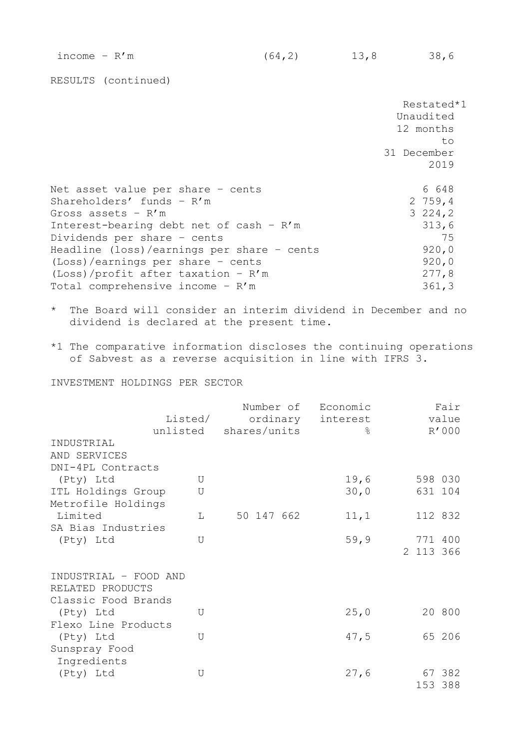RESULTS (continued)

|                                                                               | Restated*1<br>Unaudited<br>12 months<br>to |
|-------------------------------------------------------------------------------|--------------------------------------------|
|                                                                               | 31 December<br>2019                        |
| Net asset value per share - cents                                             | 6 648                                      |
| Shareholders' funds - R'm<br>Gross assets - R'm                               | 2759,4<br>3224,2                           |
| Interest-bearing debt net of cash - R'm<br>Dividends per share - cents        | 313,6<br>75                                |
| Headline (loss)/earnings per share - cents                                    | 920,0                                      |
| $(Loss) / earnings per share - cents$<br>$(Loss)/profit$ after taxation - R'm | 920,0<br>277,8                             |
| Total comprehensive income - R'm                                              | 361, 3                                     |

- \* The Board will consider an interim dividend in December and no dividend is declared at the present time.
- \*1 The comparative information discloses the continuing operations of Sabvest as a reverse acquisition in line with IFRS 3.

INVESTMENT HOLDINGS PER SECTOR

|                                                                  | Listed/<br>unlisted | shares/units | Number of Economic<br>ordinary interest<br>$\approx$ | Fair<br>value<br>R'000 |
|------------------------------------------------------------------|---------------------|--------------|------------------------------------------------------|------------------------|
| INDUSTRIAL                                                       |                     |              |                                                      |                        |
| AND SERVICES                                                     |                     |              |                                                      |                        |
| DNI-4PL Contracts                                                |                     |              |                                                      |                        |
| (Pty) Ltd                                                        | U                   |              | 19,6                                                 | 598 030                |
| ITL Holdings Group                                               | U                   |              | 30,0                                                 | 631 104                |
| Metrofile Holdings                                               |                     |              |                                                      |                        |
| Limited                                                          | L                   | 50 147 662   | 11, 1                                                | 112 832                |
| SA Bias Industries                                               |                     |              |                                                      |                        |
| (Pty) Ltd                                                        | U                   |              | 59, 9                                                | 771 400                |
|                                                                  |                     |              |                                                      | 2 113 366              |
| INDUSTRIAL - FOOD AND<br>RELATED PRODUCTS<br>Classic Food Brands |                     |              |                                                      |                        |
| (Pty) Ltd                                                        | U                   |              | 25,0                                                 | 20 800                 |
| Flexo Line Products                                              |                     |              |                                                      |                        |
| (Pty) Ltd                                                        | U                   |              | 47,5                                                 | 65 206                 |
| Sunspray Food                                                    |                     |              |                                                      |                        |
| Ingredients                                                      |                     |              |                                                      |                        |
| (Pty) Ltd                                                        | U                   |              | 27,6                                                 | 67 382                 |
|                                                                  |                     |              |                                                      | 153 388                |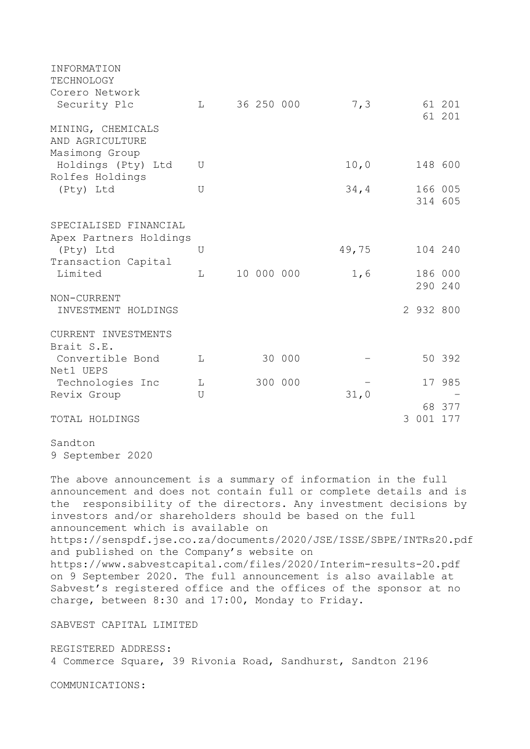| <b>INFORMATION</b><br>TECHNOLOGY<br>Corero Network     |                     |            |         |       |   |           |                    |
|--------------------------------------------------------|---------------------|------------|---------|-------|---|-----------|--------------------|
| Security Plc                                           | L                   | 36 250 000 |         | 7, 3  |   |           | 61 201<br>61 201   |
| MINING, CHEMICALS<br>AND AGRICULTURE<br>Masimong Group |                     |            |         |       |   |           |                    |
| Holdings (Pty) Ltd<br>Rolfes Holdings                  | U                   |            |         | 10, 0 |   |           | 148 600            |
| (Pty) Ltd                                              | U                   |            |         | 34, 4 |   |           | 166 005<br>314 605 |
| SPECIALISED FINANCIAL<br>Apex Partners Holdings        |                     |            |         |       |   |           |                    |
| (Pty) Ltd<br>Transaction Capital                       | U                   |            |         | 49,75 |   |           | 104 240            |
| Limited                                                | T.                  | 10 000 000 |         | 1,6   |   |           | 186 000<br>290 240 |
| NON-CURRENT<br>INVESTMENT HOLDINGS                     |                     |            |         |       |   | 2 932 800 |                    |
| CURRENT INVESTMENTS<br>Brait S.E.                      |                     |            |         |       |   |           |                    |
| Convertible Bond<br>Net1 UEPS                          | L                   |            | 30 000  |       |   |           | 50 392             |
| Technologies Inc<br>Revix Group                        | L<br>$\overline{U}$ |            | 300 000 | 31,0  |   |           | 17 985             |
| TOTAL HOLDINGS                                         |                     |            |         |       | 3 | 001       | 68 377<br>177      |
|                                                        |                     |            |         |       |   |           |                    |

Sandton 9 September 2020

The above announcement is a summary of information in the full announcement and does not contain full or complete details and is the responsibility of the directors. Any investment decisions by investors and/or shareholders should be based on the full announcement which is available on https://senspdf.jse.co.za/documents/2020/JSE/ISSE/SBPE/INTRs20.pdf and published on the Company's website on https://www.sabvestcapital.com/files/2020/Interim-results-20.pdf on 9 September 2020. The full announcement is also available at Sabvest's registered office and the offices of the sponsor at no charge, between 8:30 and 17:00, Monday to Friday.

SABVEST CAPITAL LIMITED

REGISTERED ADDRESS: 4 Commerce Square, 39 Rivonia Road, Sandhurst, Sandton 2196

COMMUNICATIONS: